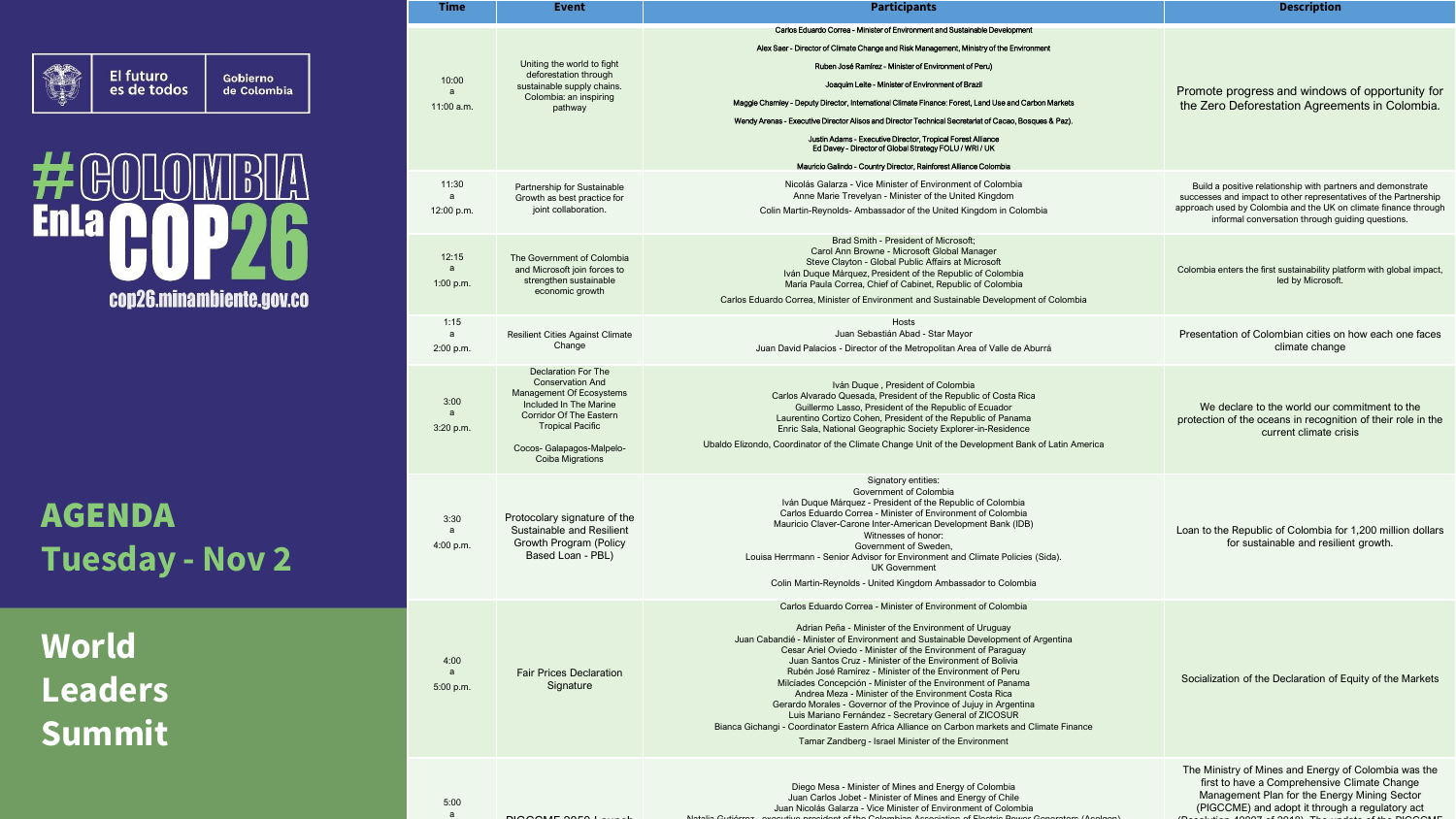

Gobierno<br>de Colombia

### $\bigcirc$ 书 **Enla** cop26.minambiente.gov.co

AGENDA **Tuesday - Nov 2**

**World Leaders Summit**

| Time<br>Event<br><b>Participants</b> |                                   | <b>Description</b>                                                                                                                                                                                                 |                                                                                                                                                                                                                                                                                                                                                                                                                                                                                                                                                                                                                                                                                                                                                                                                             |                                                                                                                                                                                                                                                        |
|--------------------------------------|-----------------------------------|--------------------------------------------------------------------------------------------------------------------------------------------------------------------------------------------------------------------|-------------------------------------------------------------------------------------------------------------------------------------------------------------------------------------------------------------------------------------------------------------------------------------------------------------------------------------------------------------------------------------------------------------------------------------------------------------------------------------------------------------------------------------------------------------------------------------------------------------------------------------------------------------------------------------------------------------------------------------------------------------------------------------------------------------|--------------------------------------------------------------------------------------------------------------------------------------------------------------------------------------------------------------------------------------------------------|
|                                      | 10:00<br>a<br>11:00 a.m.          | Uniting the world to fight<br>deforestation through<br>sustainable supply chains.<br>Colombia: an inspiring<br>pathway                                                                                             | Carlos Eduardo Correa - Minister of Environment and Sustainable Development<br>Alex Saer - Director of Climate Change and Risk Management, Ministry of the Environment<br>Ruben José Ramírez - Minister of Environment of Peru)<br>Joaquim Leite - Minister of Environment of Brazil<br>Maggie Chamley - Deputy Director, International Climate Finance: Forest, Land Use and Carbon Markets<br>Wendy Arenas - Executive Director Alisos and Director Technical Secretariat of Cacao, Bosques & Paz).<br>Justin Adams - Executive Director, Tropical Forest Alliance<br>Ed Davey - Director of Global Strategy FOLU / WRI / UK<br>Mauricio Galindo - Country Director, Rainforest Alliance Colombia                                                                                                         | Promote progress and windows of opportunity for<br>the Zero Deforestation Agreements in Colombia.                                                                                                                                                      |
|                                      | 11:30<br>a<br>12:00 p.m.          | Partnership for Sustainable<br>Growth as best practice for<br>joint collaboration.                                                                                                                                 | Nicolás Galarza - Vice Minister of Environment of Colombia<br>Anne Marie Trevelyan - Minister of the United Kingdom<br>Colin Martin-Reynolds-Ambassador of the United Kingdom in Colombia                                                                                                                                                                                                                                                                                                                                                                                                                                                                                                                                                                                                                   | Build a positive relationship with partners and demonstrate<br>successes and impact to other representatives of the Partnership<br>approach used by Colombia and the UK on climate finance through<br>informal conversation through guiding questions. |
|                                      | 12:15<br>a<br>1:00 p.m.           | The Government of Colombia<br>and Microsoft join forces to<br>strengthen sustainable<br>economic growth                                                                                                            | Brad Smith - President of Microsoft;<br>Carol Ann Browne - Microsoft Global Manager<br>Steve Clayton - Global Public Affairs at Microsoft<br>Iván Duque Márquez, President of the Republic of Colombia<br>María Paula Correa, Chief of Cabinet, Republic of Colombia<br>Carlos Eduardo Correa, Minister of Environment and Sustainable Development of Colombia                                                                                                                                                                                                                                                                                                                                                                                                                                              | Colombia enters the first sustainability platform with global impact,<br>led by Microsoft.                                                                                                                                                             |
|                                      | 1:15<br>a<br>2:00 p.m.            | <b>Resilient Cities Against Climate</b><br>Change                                                                                                                                                                  | Hosts<br>Juan Sebastián Abad - Star Mayor<br>Juan David Palacios - Director of the Metropolitan Area of Valle de Aburrá                                                                                                                                                                                                                                                                                                                                                                                                                                                                                                                                                                                                                                                                                     | Presentation of Colombian cities on how each one faces<br>climate change                                                                                                                                                                               |
|                                      | 3:00<br>a<br>3:20 p.m.            | Declaration For The<br><b>Conservation And</b><br>Management Of Ecosystems<br>Included In The Marine<br>Corridor Of The Eastern<br><b>Tropical Pacific</b><br>Cocos- Galapagos-Malpelo-<br><b>Coiba Migrations</b> | Iván Duque, President of Colombia<br>Carlos Alvarado Quesada, President of the Republic of Costa Rica<br>Guillermo Lasso, President of the Republic of Ecuador<br>Laurentino Cortizo Cohen, President of the Republic of Panama<br>Enric Sala, National Geographic Society Explorer-in-Residence<br>Ubaldo Elizondo, Coordinator of the Climate Change Unit of the Development Bank of Latin America                                                                                                                                                                                                                                                                                                                                                                                                        | We declare to the world our commitment to the<br>protection of the oceans in recognition of their role in the<br>current climate crisis                                                                                                                |
|                                      | 3:30<br>$\mathsf{a}$<br>4:00 p.m. | Protocolary signature of the<br>Sustainable and Resilient<br>Growth Program (Policy<br>Based Loan - PBL)                                                                                                           | Signatory entities:<br>Government of Colombia<br>Iván Duque Márquez - President of the Republic of Colombia<br>Carlos Eduardo Correa - Minister of Environment of Colombia<br>Mauricio Claver-Carone Inter-American Development Bank (IDB)<br>Witnesses of honor:<br>Government of Sweden,<br>Louisa Herrmann - Senior Advisor for Environment and Climate Policies (Sida).<br><b>UK Government</b><br>Colin Martin-Reynolds - United Kingdom Ambassador to Colombia                                                                                                                                                                                                                                                                                                                                        | Loan to the Republic of Colombia for 1,200 million dollars<br>for sustainable and resilient growth.                                                                                                                                                    |
|                                      | 4:00<br>a<br>5:00 p.m.            | <b>Fair Prices Declaration</b><br>Signature                                                                                                                                                                        | Carlos Eduardo Correa - Minister of Environment of Colombia<br>Adrian Peña - Minister of the Environment of Uruguay<br>Juan Cabandié - Minister of Environment and Sustainable Development of Argentina<br>Cesar Ariel Oviedo - Minister of the Environment of Paraguay<br>Juan Santos Cruz - Minister of the Environment of Bolivia<br>Rubén José Ramírez - Minister of the Environment of Peru<br>Milcíades Concepción - Minister of the Environment of Panama<br>Andrea Meza - Minister of the Environment Costa Rica<br>Gerardo Morales - Governor of the Province of Jujuy in Argentina<br>Luis Mariano Fernández - Secretary General of ZICOSUR<br>Bianca Gichangi - Coordinator Eastern Africa Alliance on Carbon markets and Climate Finance<br>Tamar Zandberg - Israel Minister of the Environment | Socialization of the Declaration of Equity of the Markets                                                                                                                                                                                              |
|                                      | 5:00<br>a                         | <b>NOOOME OOFS</b>                                                                                                                                                                                                 | Diego Mesa - Minister of Mines and Energy of Colombia<br>Juan Carlos Jobet - Minister of Mines and Energy of Chile<br>Juan Nicolás Galarza - Vice Minister of Environment of Colombia                                                                                                                                                                                                                                                                                                                                                                                                                                                                                                                                                                                                                       | The Ministry of Mines and Energy of Colombia was the<br>first to have a Comprehensive Climate Change<br>Management Plan for the Energy Mining Sector<br>(PIGCCME) and adopt it through a regulatory act                                                |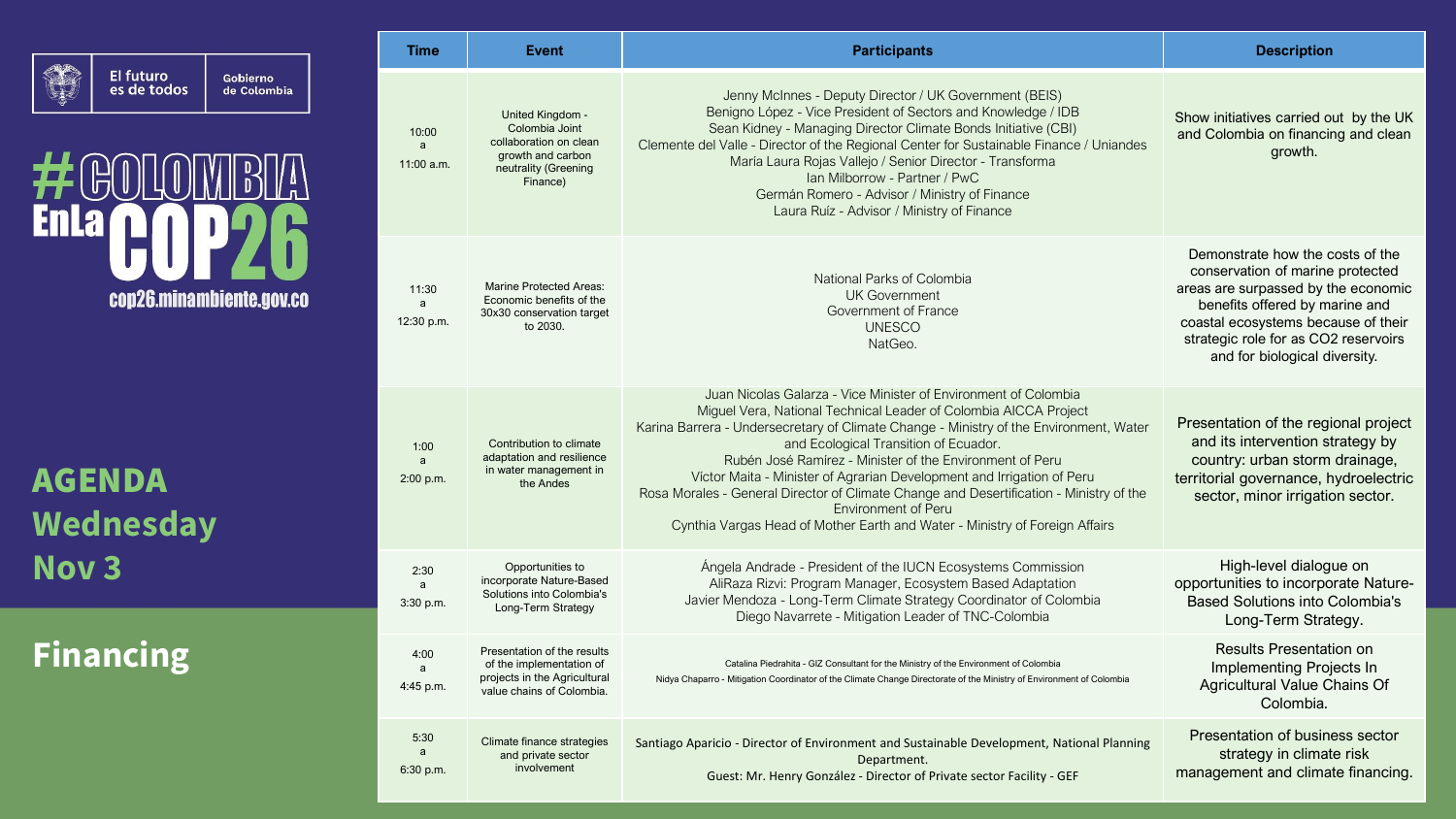

 $\cdot \mathbb{R}$ #  $\begin{bmatrix} 0 \\ 0 \end{bmatrix}$ **Enla** cop26.minambiente.gov.co

Gobierno<br>de Colombia

AGENDA **Wednesday Nov 3**

# **Financing**

| <b>Time</b>                       | <b>Event</b>                                                                                                          | <b>Participants</b>                                                                                                                                                                                                                                                                                                                                                                                                                                                                                                                                                                                                  | <b>Description</b>                                                                                                                                                                                                                                            |
|-----------------------------------|-----------------------------------------------------------------------------------------------------------------------|----------------------------------------------------------------------------------------------------------------------------------------------------------------------------------------------------------------------------------------------------------------------------------------------------------------------------------------------------------------------------------------------------------------------------------------------------------------------------------------------------------------------------------------------------------------------------------------------------------------------|---------------------------------------------------------------------------------------------------------------------------------------------------------------------------------------------------------------------------------------------------------------|
| 10:00<br>a<br>11:00 a.m.          | United Kingdom -<br>Colombia Joint<br>collaboration on clean<br>growth and carbon<br>neutrality (Greening<br>Finance) | Jenny McInnes - Deputy Director / UK Government (BEIS)<br>Benigno López - Vice President of Sectors and Knowledge / IDB<br>Sean Kidney - Managing Director Climate Bonds Initiative (CBI)<br>Clemente del Valle - Director of the Regional Center for Sustainable Finance / Uniandes<br>María Laura Rojas Vallejo / Senior Director - Transforma<br>Ian Milborrow - Partner / PwC<br>Germán Romero - Advisor / Ministry of Finance<br>Laura Ruíz - Advisor / Ministry of Finance                                                                                                                                     | Show initiatives carried out by the UK<br>and Colombia on financing and clean<br>growth.                                                                                                                                                                      |
| 11:30<br>a<br>12:30 p.m.          | <b>Marine Protected Areas:</b><br>Economic benefits of the<br>30x30 conservation target<br>to 2030.                   | National Parks of Colombia<br><b>UK Government</b><br>Government of France<br><b>UNESCO</b><br>NatGeo.                                                                                                                                                                                                                                                                                                                                                                                                                                                                                                               | Demonstrate how the costs of the<br>conservation of marine protected<br>areas are surpassed by the economic<br>benefits offered by marine and<br>coastal ecosystems because of their<br>strategic role for as CO2 reservoirs<br>and for biological diversity. |
| 1:00<br>a<br>2:00 p.m.            | Contribution to climate<br>adaptation and resilience<br>in water management in<br>the Andes                           | Juan Nicolas Galarza - Vice Minister of Environment of Colombia<br>Miguel Vera, National Technical Leader of Colombia AICCA Project<br>Karina Barrera - Undersecretary of Climate Change - Ministry of the Environment, Water<br>and Ecological Transition of Ecuador.<br>Rubén José Ramírez - Minister of the Environment of Peru<br>Víctor Maita - Minister of Agrarian Development and Irrigation of Peru<br>Rosa Morales - General Director of Climate Change and Desertification - Ministry of the<br><b>Environment of Peru</b><br>Cynthia Vargas Head of Mother Earth and Water - Ministry of Foreign Affairs | Presentation of the regional project<br>and its intervention strategy by<br>country: urban storm drainage,<br>territorial governance, hydroelectric<br>sector, minor irrigation sector.                                                                       |
| 2:30<br>a<br>3:30 p.m.            | Opportunities to<br>incorporate Nature-Based<br>Solutions into Colombia's<br>Long-Term Strategy                       | Ángela Andrade - President of the IUCN Ecosystems Commission<br>AliRaza Rizvi: Program Manager, Ecosystem Based Adaptation<br>Javier Mendoza - Long-Term Climate Strategy Coordinator of Colombia<br>Diego Navarrete - Mitigation Leader of TNC-Colombia                                                                                                                                                                                                                                                                                                                                                             | High-level dialogue on<br>opportunities to incorporate Nature-<br><b>Based Solutions into Colombia's</b><br>Long-Term Strategy.                                                                                                                               |
| 4:00<br>$\mathsf{a}$<br>4:45 p.m. | Presentation of the results<br>of the implementation of<br>projects in the Agricultural<br>value chains of Colombia.  | Catalina Piedrahita - GIZ Consultant for the Ministry of the Environment of Colombia<br>Nidya Chaparro - Mitigation Coordinator of the Climate Change Directorate of the Ministry of Environment of Colombia                                                                                                                                                                                                                                                                                                                                                                                                         | <b>Results Presentation on</b><br>Implementing Projects In<br>Agricultural Value Chains Of<br>Colombia.                                                                                                                                                       |
| 5:30<br>$\mathsf{a}$<br>6:30 p.m. | Climate finance strategies<br>and private sector<br>involvement                                                       | Santiago Aparicio - Director of Environment and Sustainable Development, National Planning<br>Department.<br>Guest: Mr. Henry González - Director of Private sector Facility - GEF                                                                                                                                                                                                                                                                                                                                                                                                                                   | Presentation of business sector<br>strategy in climate risk<br>management and climate financing.                                                                                                                                                              |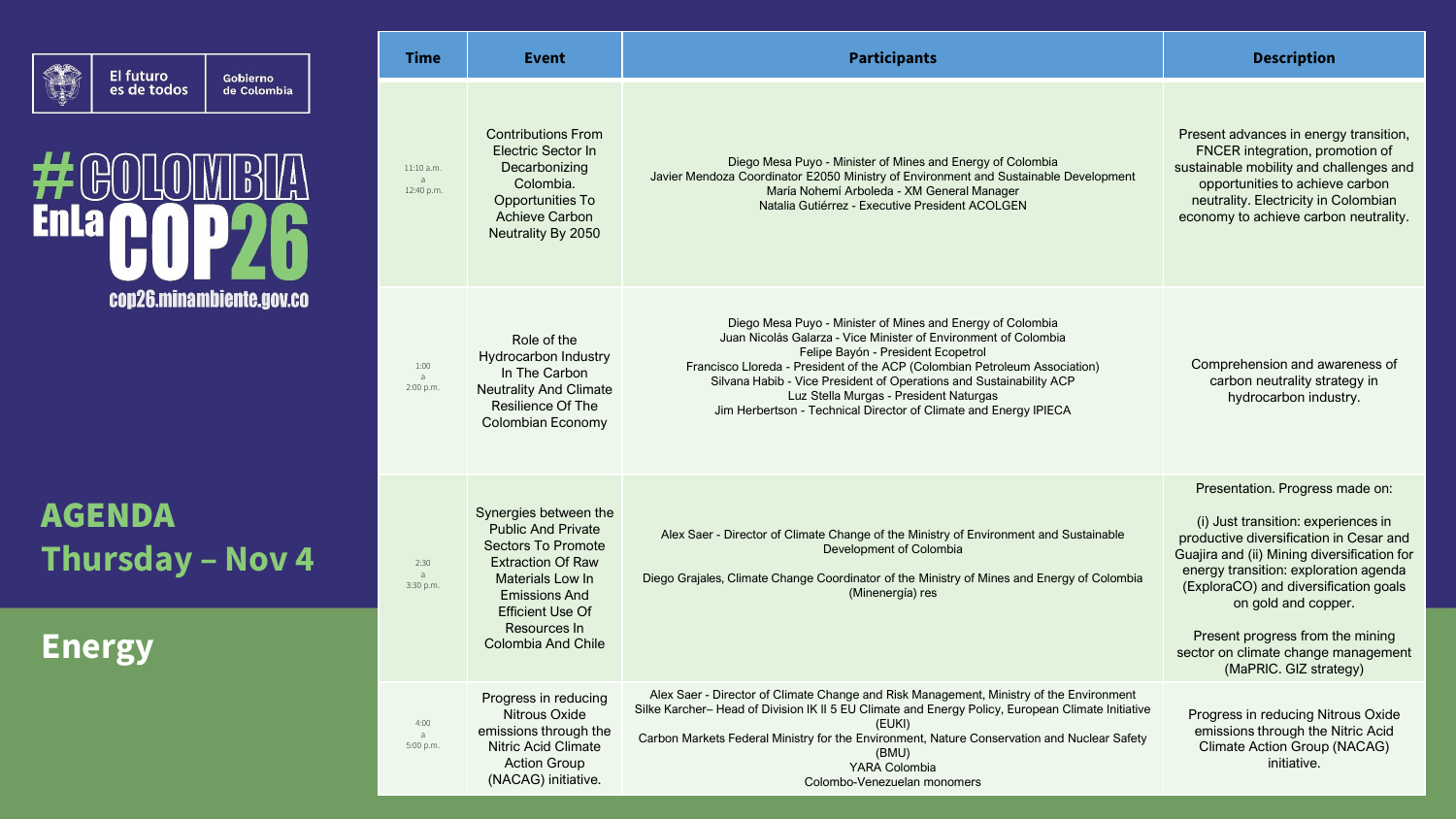| El futuro<br>es de todos |
|--------------------------|
|--------------------------|

## $#$  $@0$  $\left\| \begin{array}{c} 0 \\ 0 \end{array} \right\|$ **Enla** cop26.minambiente.gov.co

Gobierno<br>de Colombia

AGENDA **Thursday – Nov 4**

**Energy**

| Time                                       | Event                                                                                                                                                                                                             | <b>Participants</b>                                                                                                                                                                                                                                                                                                                                                                                                                    | <b>Description</b>                                                                                                                                                                                                                                                                                                                                                             |
|--------------------------------------------|-------------------------------------------------------------------------------------------------------------------------------------------------------------------------------------------------------------------|----------------------------------------------------------------------------------------------------------------------------------------------------------------------------------------------------------------------------------------------------------------------------------------------------------------------------------------------------------------------------------------------------------------------------------------|--------------------------------------------------------------------------------------------------------------------------------------------------------------------------------------------------------------------------------------------------------------------------------------------------------------------------------------------------------------------------------|
| 11:10 a.m.<br>$\overline{a}$<br>12:40 p.m. | <b>Contributions From</b><br>Electric Sector In<br>Decarbonizing<br>Colombia.<br>Opportunities To<br><b>Achieve Carbon</b><br>Neutrality By 2050                                                                  | Diego Mesa Puyo - Minister of Mines and Energy of Colombia<br>Javier Mendoza Coordinator E2050 Ministry of Environment and Sustainable Development<br>María Nohemí Arboleda - XM General Manager<br>Natalia Gutiérrez - Executive President ACOLGEN                                                                                                                                                                                    | Present advances in energy transition,<br>FNCER integration, promotion of<br>sustainable mobility and challenges and<br>opportunities to achieve carbon<br>neutrality. Electricity in Colombian<br>economy to achieve carbon neutrality.                                                                                                                                       |
| 1:00<br>$\overline{a}$<br>2:00 p.m.        | Role of the<br>Hydrocarbon Industry<br>In The Carbon<br><b>Neutrality And Climate</b><br>Resilience Of The<br>Colombian Economy                                                                                   | Diego Mesa Puyo - Minister of Mines and Energy of Colombia<br>Juan Nicolás Galarza - Vice Minister of Environment of Colombia<br>Felipe Bayón - President Ecopetrol<br>Francisco Lloreda - President of the ACP (Colombian Petroleum Association)<br>Silvana Habib - Vice President of Operations and Sustainability ACP<br>Luz Stella Murgas - President Naturgas<br>Jim Herbertson - Technical Director of Climate and Energy IPIECA | Comprehension and awareness of<br>carbon neutrality strategy in<br>hydrocarbon industry.                                                                                                                                                                                                                                                                                       |
| 2:30<br>a<br>3:30 p.m.                     | Synergies between the<br><b>Public And Private</b><br>Sectors To Promote<br><b>Extraction Of Raw</b><br>Materials Low In<br><b>Emissions And</b><br><b>Efficient Use Of</b><br>Resources In<br>Colombia And Chile | Alex Saer - Director of Climate Change of the Ministry of Environment and Sustainable<br>Development of Colombia<br>Diego Grajales, Climate Change Coordinator of the Ministry of Mines and Energy of Colombia<br>(Minenergía) res                                                                                                                                                                                                     | Presentation. Progress made on:<br>(i) Just transition: experiences in<br>productive diversification in Cesar and<br>Guajira and (ii) Mining diversification for<br>energy transition: exploration agenda<br>(ExploraCO) and diversification goals<br>on gold and copper.<br>Present progress from the mining<br>sector on climate change management<br>(MaPRIC. GIZ strategy) |
| 4:00<br>$\overline{a}$<br>5:00 p.m.        | Progress in reducing<br>Nitrous Oxide<br>emissions through the<br><b>Nitric Acid Climate</b><br><b>Action Group</b><br>(NACAG) initiative.                                                                        | Alex Saer - Director of Climate Change and Risk Management, Ministry of the Environment<br>Silke Karcher-Head of Division IK II 5 EU Climate and Energy Policy, European Climate Initiative<br>(EUKI)<br>Carbon Markets Federal Ministry for the Environment, Nature Conservation and Nuclear Safety<br>(BMU)<br>YARA Colombia<br>Colombo-Venezuelan monomers                                                                          | Progress in reducing Nitrous Oxide<br>emissions through the Nitric Acid<br><b>Climate Action Group (NACAG)</b><br>initiative.                                                                                                                                                                                                                                                  |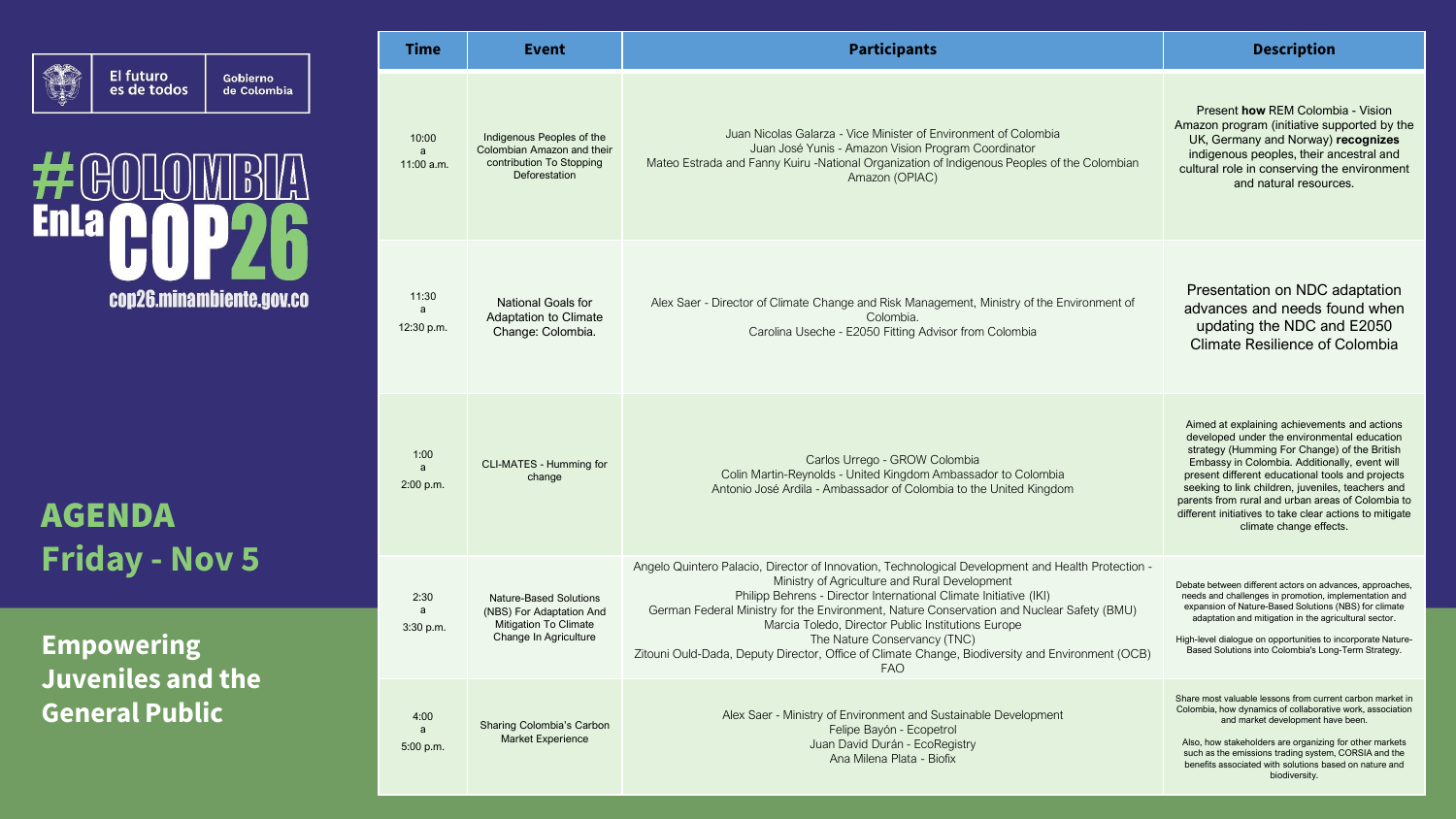

Gobierno<br>de Colombia



AGENDA **Friday - Nov 5**

**Empowering Juveniles and the General Public**

| <b>Time</b>                | Event                                                                                                              | <b>Participants</b>                                                                                                                                                                                                                                                                                                                                                                                                                                                                                                           | <b>Description</b>                                                                                                                                                                                                                                                                                                                                                                                                                               |
|----------------------------|--------------------------------------------------------------------------------------------------------------------|-------------------------------------------------------------------------------------------------------------------------------------------------------------------------------------------------------------------------------------------------------------------------------------------------------------------------------------------------------------------------------------------------------------------------------------------------------------------------------------------------------------------------------|--------------------------------------------------------------------------------------------------------------------------------------------------------------------------------------------------------------------------------------------------------------------------------------------------------------------------------------------------------------------------------------------------------------------------------------------------|
| 10:00<br>a<br>$11:00$ a.m. | Indigenous Peoples of the<br>Colombian Amazon and their<br>contribution To Stopping<br>Deforestation               | Juan Nicolas Galarza - Vice Minister of Environment of Colombia<br>Juan José Yunis - Amazon Vision Program Coordinator<br>Mateo Estrada and Fanny Kuiru -National Organization of Indigenous Peoples of the Colombian<br>Amazon (OPIAC)                                                                                                                                                                                                                                                                                       | Present how REM Colombia - Vision<br>Amazon program (initiative supported by the<br>UK, Germany and Norway) recognizes<br>indigenous peoples, their ancestral and<br>cultural role in conserving the environment<br>and natural resources.                                                                                                                                                                                                       |
| 11:30<br>a<br>12:30 p.m.   | <b>National Goals for</b><br><b>Adaptation to Climate</b><br>Change: Colombia.                                     | Alex Saer - Director of Climate Change and Risk Management, Ministry of the Environment of<br>Colombia.<br>Carolina Useche - E2050 Fitting Advisor from Colombia                                                                                                                                                                                                                                                                                                                                                              | Presentation on NDC adaptation<br>advances and needs found when<br>updating the NDC and E2050<br><b>Climate Resilience of Colombia</b>                                                                                                                                                                                                                                                                                                           |
| 1:00<br>a<br>2:00 p.m.     | CLI-MATES - Humming for<br>change                                                                                  | Carlos Urrego - GROW Colombia<br>Colin Martin-Reynolds - United Kingdom Ambassador to Colombia<br>Antonio José Ardila - Ambassador of Colombia to the United Kingdom                                                                                                                                                                                                                                                                                                                                                          | Aimed at explaining achievements and actions<br>developed under the environmental education<br>strategy (Humming For Change) of the British<br>Embassy in Colombia. Additionally, event will<br>present different educational tools and projects<br>seeking to link children, juveniles, teachers and<br>parents from rural and urban areas of Colombia to<br>different initiatives to take clear actions to mitigate<br>climate change effects. |
| 2:30<br>a<br>3:30 p.m.     | <b>Nature-Based Solutions</b><br>(NBS) For Adaptation And<br><b>Mitigation To Climate</b><br>Change In Agriculture | Angelo Quintero Palacio, Director of Innovation, Technological Development and Health Protection -<br>Ministry of Agriculture and Rural Development<br>Philipp Behrens - Director International Climate Initiative (IKI)<br>German Federal Ministry for the Environment, Nature Conservation and Nuclear Safety (BMU)<br>Marcia Toledo, Director Public Institutions Europe<br>The Nature Conservancy (TNC)<br>Zitouni Ould-Dada, Deputy Director, Office of Climate Change, Biodiversity and Environment (OCB)<br><b>FAO</b> | Debate between different actors on advances, approaches,<br>needs and challenges in promotion, implementation and<br>expansion of Nature-Based Solutions (NBS) for climate<br>adaptation and mitigation in the agricultural sector.<br>High-level dialogue on opportunities to incorporate Nature-<br>Based Solutions into Colombia's Long-Term Strategy.                                                                                        |
| 4:00<br>a<br>5:00 p.m.     | Sharing Colombia's Carbon<br><b>Market Experience</b>                                                              | Alex Saer - Ministry of Environment and Sustainable Development<br>Felipe Bayón - Ecopetrol<br>Juan David Durán - EcoRegistry<br>Ana Milena Plata - Biofix                                                                                                                                                                                                                                                                                                                                                                    | Share most valuable lessons from current carbon market in<br>Colombia, how dynamics of collaborative work, association<br>and market development have been.<br>Also, how stakeholders are organizing for other markets<br>such as the emissions trading system, CORSIA and the<br>benefits associated with solutions based on nature and<br>biodiversity.                                                                                        |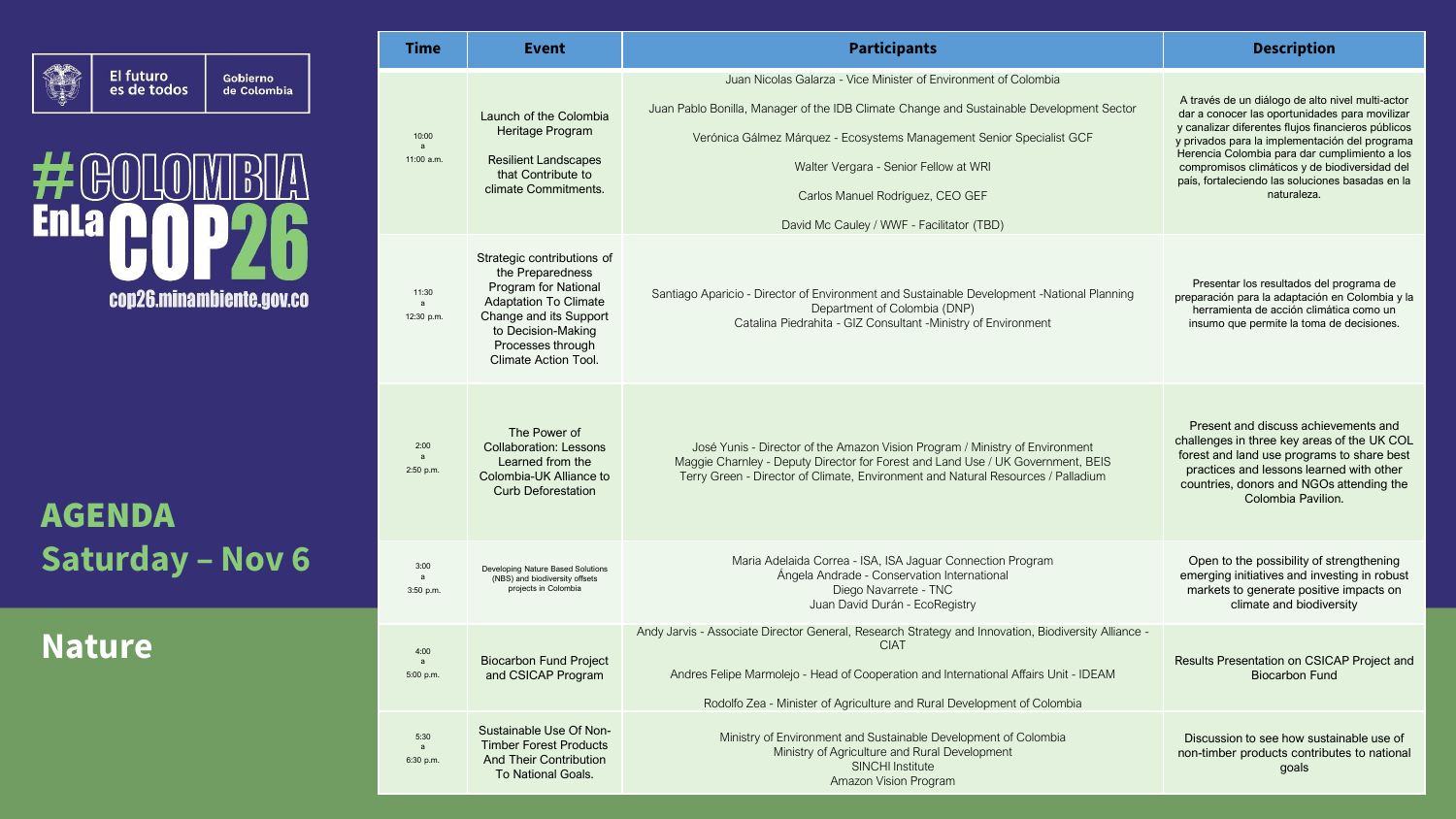|                                                     | <b>Time</b>                         | <b>Event</b>                                                                                                                                                                                               |                                               |
|-----------------------------------------------------|-------------------------------------|------------------------------------------------------------------------------------------------------------------------------------------------------------------------------------------------------------|-----------------------------------------------|
| El futuro<br>Gobierno<br>es de todos<br>de Colombia | 10:00<br>$\mathsf{a}$<br>11:00 a.m. | Launch of the Colombia<br>Heritage Program<br><b>Resilient Landscapes</b><br>that Contribute to<br>climate Commitments.                                                                                    | Ju<br>Juan Pablo Bonilla<br>Verónica          |
| cop26.minambiente.gov.co                            | 11:30<br>$\mathsf{a}$<br>12:30 p.m. | Strategic contributions of<br>the Preparedness<br>Program for National<br><b>Adaptation To Climate</b><br>Change and its Support<br>to Decision-Making<br>Processes through<br><b>Climate Action Tool.</b> | Santiago Aparicio<br>C                        |
| <b>AGENDA</b>                                       | 2:00<br>$\mathbf{a}$<br>2:50 p.m.   | The Power of<br><b>Collaboration: Lessons</b><br>Learned from the<br>Colombia-UK Alliance to<br><b>Curb Deforestation</b>                                                                                  | José Yun<br>Maggie Char<br><b>Terry Greer</b> |
| <b>Saturday - Nov 6</b>                             | 3:00<br>a<br>3:50 p.m.              | Developing Nature Based Solutions<br>(NBS) and biodiversity offsets<br>projects in Colombia                                                                                                                | N                                             |
| <b>Nature</b>                                       | 4:00<br>a<br>5:00 p.m.              | <b>Biocarbon Fund Project</b><br>and CSICAP Program                                                                                                                                                        | Andy Jarvis - Assoc<br>Andres Felipe          |

| <b>Time</b>                           | Event                                                                                                                                                                                                      | <b>Participants</b>                                                                                                                                                                                                                                                                                                                                            | <b>Description</b>                                                                                                                                                                                                                                                                                                                                                              |
|---------------------------------------|------------------------------------------------------------------------------------------------------------------------------------------------------------------------------------------------------------|----------------------------------------------------------------------------------------------------------------------------------------------------------------------------------------------------------------------------------------------------------------------------------------------------------------------------------------------------------------|---------------------------------------------------------------------------------------------------------------------------------------------------------------------------------------------------------------------------------------------------------------------------------------------------------------------------------------------------------------------------------|
| 10:00<br>$\overline{a}$<br>11:00 a.m. | Launch of the Colombia<br>Heritage Program<br><b>Resilient Landscapes</b><br>that Contribute to<br>climate Commitments.                                                                                    | Juan Nicolas Galarza - Vice Minister of Environment of Colombia<br>Juan Pablo Bonilla, Manager of the IDB Climate Change and Sustainable Development Sector<br>Verónica Gálmez Márquez - Ecosystems Management Senior Specialist GCF<br>Walter Vergara - Senior Fellow at WRI<br>Carlos Manuel Rodríguez, CEO GEF<br>David Mc Cauley / WWF - Facilitator (TBD) | A través de un diálogo de alto nivel multi-actor<br>dar a conocer las oportunidades para movilizar<br>y canalizar diferentes flujos financieros públicos<br>y privados para la implementación del programa<br>Herencia Colombia para dar cumplimiento a los<br>compromisos climáticos y de biodiversidad del<br>país, fortaleciendo las soluciones basadas en la<br>naturaleza. |
| 11:30<br>$\mathsf{a}$<br>12:30 p.m.   | Strategic contributions of<br>the Preparedness<br><b>Program for National</b><br><b>Adaptation To Climate</b><br>Change and its Support<br>to Decision-Making<br>Processes through<br>Climate Action Tool. | Santiago Aparicio - Director of Environment and Sustainable Development -National Planning<br>Department of Colombia (DNP)<br>Catalina Piedrahita - GIZ Consultant -Ministry of Environment                                                                                                                                                                    | Presentar los resultados del programa de<br>preparación para la adaptación en Colombia y la<br>herramienta de acción climática como un<br>insumo que permite la toma de decisiones.                                                                                                                                                                                             |
| 2:00<br>a<br>2:50 p.m.                | The Power of<br><b>Collaboration: Lessons</b><br>Learned from the<br>Colombia-UK Alliance to<br><b>Curb Deforestation</b>                                                                                  | José Yunis - Director of the Amazon Vision Program / Ministry of Environment<br>Maggie Charnley - Deputy Director for Forest and Land Use / UK Government, BEIS<br>Terry Green - Director of Climate, Environment and Natural Resources / Palladium                                                                                                            | Present and discuss achievements and<br>challenges in three key areas of the UK COL<br>forest and land use programs to share best<br>practices and lessons learned with other<br>countries, donors and NGOs attending the<br>Colombia Pavilion.                                                                                                                                 |
| 3:00<br>3:50 p.m.                     | Developing Nature Based Solutions<br>(NBS) and biodiversity offsets<br>projects in Colombia                                                                                                                | Maria Adelaida Correa - ISA, ISA Jaguar Connection Program<br>Ángela Andrade - Conservation International<br>Diego Navarrete - TNC<br>Juan David Durán - EcoRegistry                                                                                                                                                                                           | Open to the possibility of strengthening<br>emerging initiatives and investing in robust<br>markets to generate positive impacts on<br>climate and biodiversity                                                                                                                                                                                                                 |
| 4:00<br>a<br>5:00 p.m.                | <b>Biocarbon Fund Project</b><br>and CSICAP Program                                                                                                                                                        | Andy Jarvis - Associate Director General, Research Strategy and Innovation, Biodiversity Alliance -<br><b>CIAT</b><br>Andres Felipe Marmolejo - Head of Cooperation and International Affairs Unit - IDEAM<br>Rodolfo Zea - Minister of Agriculture and Rural Development of Colombia                                                                          | Results Presentation on CSICAP Project and<br><b>Biocarbon Fund</b>                                                                                                                                                                                                                                                                                                             |
| 5:30<br>$\mathbf{a}$<br>6:30 p.m.     | Sustainable Use Of Non-<br><b>Timber Forest Products</b><br><b>And Their Contribution</b><br><b>To National Goals.</b>                                                                                     | Ministry of Environment and Sustainable Development of Colombia<br>Ministry of Agriculture and Rural Development<br><b>SINCHI Institute</b><br>Amazon Vision Program                                                                                                                                                                                           | Discussion to see how sustainable use of<br>non-timber products contributes to national<br>goals                                                                                                                                                                                                                                                                                |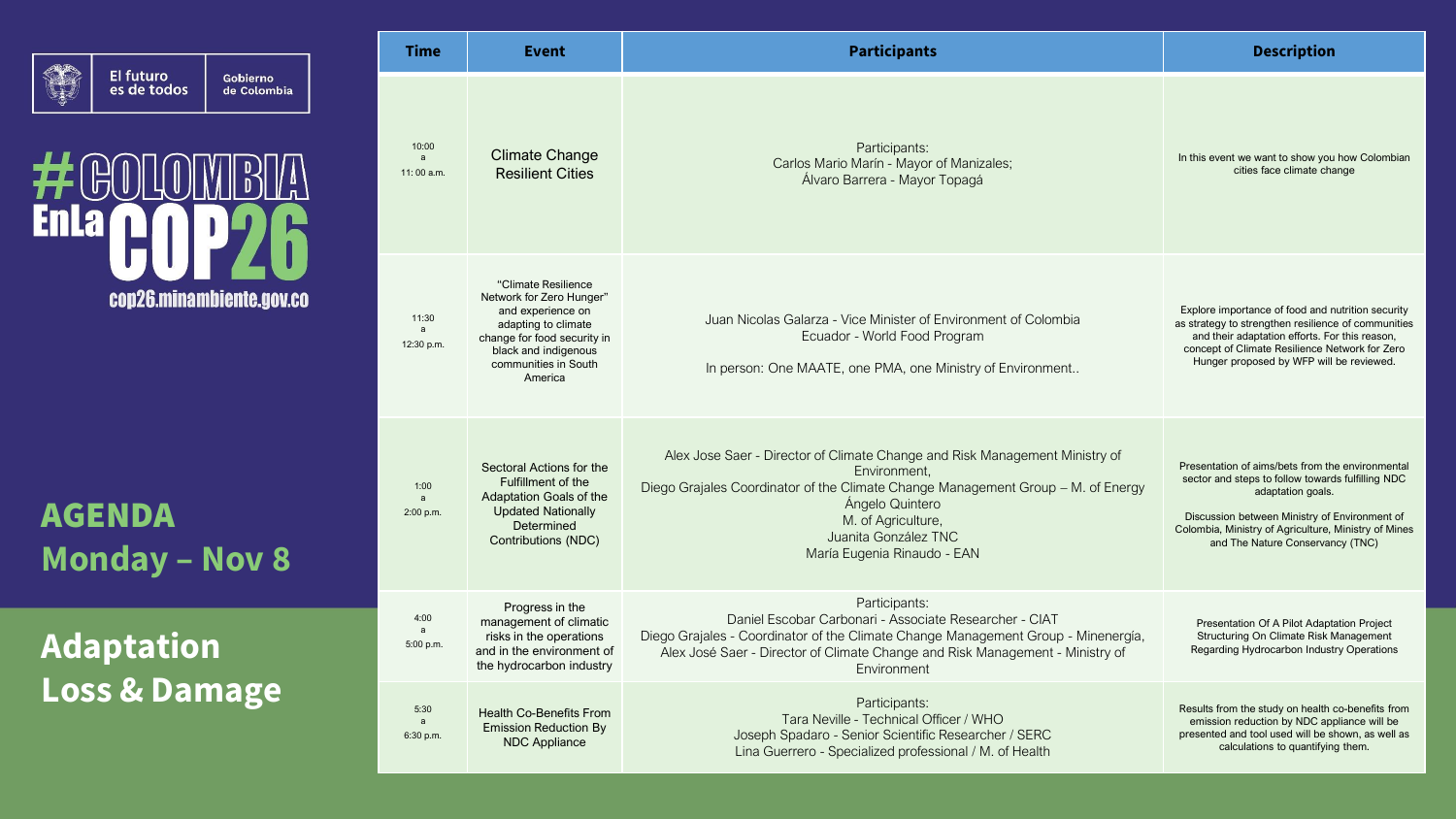| El futuro<br>es de todos | Gobierno,<br>de Colombia |  |
|--------------------------|--------------------------|--|
|                          |                          |  |

#### $\bigoplus$  $\left\| \begin{array}{c} \mathsf{D} \\ \mathsf{D} \end{array} \right\|$  $\| \cdot \|$ **Enla** cop26.minambiente.gov.co

AGENDA **Monday – Nov 8**

### **Adaptation Loss & Damage**

| <b>Time</b>                       | Event                                                                                                                                                                                 | <b>Participants</b>                                                                                                                                                                                                                                                             | <b>Description</b>                                                                                                                                                                                                                                                      |
|-----------------------------------|---------------------------------------------------------------------------------------------------------------------------------------------------------------------------------------|---------------------------------------------------------------------------------------------------------------------------------------------------------------------------------------------------------------------------------------------------------------------------------|-------------------------------------------------------------------------------------------------------------------------------------------------------------------------------------------------------------------------------------------------------------------------|
| 10:00<br>a<br>11:00 a.m.          | <b>Climate Change</b><br><b>Resilient Cities</b>                                                                                                                                      | Participants:<br>Carlos Mario Marín - Mayor of Manizales;<br>Álvaro Barrera - Mayor Topagá                                                                                                                                                                                      | In this event we want to show you how Colombian<br>cities face climate change                                                                                                                                                                                           |
| 11:30<br>a<br>12:30 p.m.          | "Climate Resilience<br>Network for Zero Hunger"<br>and experience on<br>adapting to climate<br>change for food security in<br>black and indigenous<br>communities in South<br>America | Juan Nicolas Galarza - Vice Minister of Environment of Colombia<br>Ecuador - World Food Program<br>In person: One MAATE, one PMA, one Ministry of Environment                                                                                                                   | Explore importance of food and nutrition security<br>as strategy to strengthen resilience of communities<br>and their adaptation efforts. For this reason,<br>concept of Climate Resilience Network for Zero<br>Hunger proposed by WFP will be reviewed.                |
| 1:00<br>a<br>2:00 p.m.            | Sectoral Actions for the<br>Fulfillment of the<br>Adaptation Goals of the<br><b>Updated Nationally</b><br>Determined<br>Contributions (NDC)                                           | Alex Jose Saer - Director of Climate Change and Risk Management Ministry of<br>Environment,<br>Diego Grajales Coordinator of the Climate Change Management Group - M. of Energy<br>Ángelo Quintero<br>M. of Agriculture,<br>Juanita González TNC<br>María Eugenia Rinaudo - EAN | Presentation of aims/bets from the environmental<br>sector and steps to follow towards fulfilling NDC<br>adaptation goals.<br>Discussion between Ministry of Environment of<br>Colombia, Ministry of Agriculture, Ministry of Mines<br>and The Nature Conservancy (TNC) |
| 4:00<br>$\mathsf{a}$<br>5:00 p.m. | Progress in the<br>management of climatic<br>risks in the operations<br>and in the environment of<br>the hydrocarbon industry                                                         | Participants:<br>Daniel Escobar Carbonari - Associate Researcher - CIAT<br>Diego Grajales - Coordinator of the Climate Change Management Group - Minenergía,<br>Alex José Saer - Director of Climate Change and Risk Management - Ministry of<br>Environment                    | Presentation Of A Pilot Adaptation Project<br>Structuring On Climate Risk Management<br>Regarding Hydrocarbon Industry Operations                                                                                                                                       |
| 5:30<br>a<br>6:30 p.m.            | <b>Health Co-Benefits From</b><br><b>Emission Reduction By</b><br><b>NDC Appliance</b>                                                                                                | Participants:<br>Tara Neville - Technical Officer / WHO<br>Joseph Spadaro - Senior Scientific Researcher / SERC<br>Lina Guerrero - Specialized professional / M. of Health                                                                                                      | Results from the study on health co-benefits from<br>emission reduction by NDC appliance will be<br>presented and tool used will be shown, as well as<br>calculations to quantifying them.                                                                              |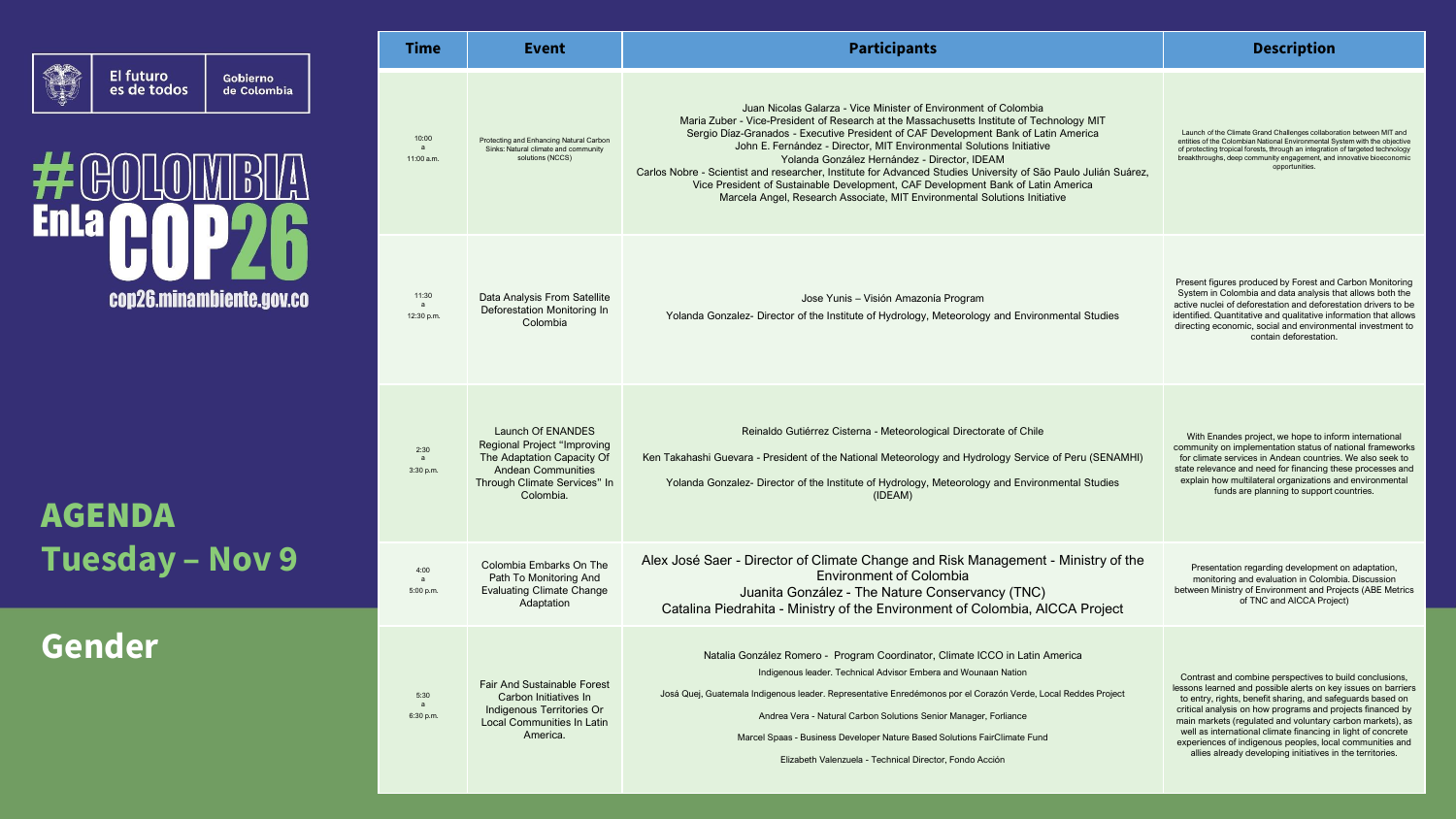

### **Feo** 并  $\begin{bmatrix} 0 \\ 0 \end{bmatrix}$ **Enla** cop26.minambiente.gov.co

AGENDA **Tuesday – Nov 9**

**Gender**

| Time                                | Event                                                                                                                                                    | <b>Participants</b>                                                                                                                                                                                                                                                                                                                                                                                                                                                                                                                                                                                                                                            | <b>Description</b>                                                                                                                                                                                                                                                                                                                                                                                                                                                                                         |
|-------------------------------------|----------------------------------------------------------------------------------------------------------------------------------------------------------|----------------------------------------------------------------------------------------------------------------------------------------------------------------------------------------------------------------------------------------------------------------------------------------------------------------------------------------------------------------------------------------------------------------------------------------------------------------------------------------------------------------------------------------------------------------------------------------------------------------------------------------------------------------|------------------------------------------------------------------------------------------------------------------------------------------------------------------------------------------------------------------------------------------------------------------------------------------------------------------------------------------------------------------------------------------------------------------------------------------------------------------------------------------------------------|
| 10:00<br>a<br>11:00 a.m.            | Protecting and Enhancing Natural Carbon<br>Sinks: Natural climate and community<br>solutions (NCCS)                                                      | Juan Nicolas Galarza - Vice Minister of Environment of Colombia<br>Maria Zuber - Vice-President of Research at the Massachusetts Institute of Technology MIT<br>Sergio Díaz-Granados - Executive President of CAF Development Bank of Latin America<br>John E. Fernández - Director, MIT Environmental Solutions Initiative<br>Yolanda González Hernández - Director, IDEAM<br>Carlos Nobre - Scientist and researcher, Institute for Advanced Studies University of São Paulo Julián Suárez,<br>Vice President of Sustainable Development, CAF Development Bank of Latin America<br>Marcela Angel, Research Associate, MIT Environmental Solutions Initiative | Launch of the Climate Grand Challenges collaboration between MIT and<br>entities of the Colombian National Environmental System with the objective<br>of protecting tropical forests, through an integration of targeted technology<br>breakthroughs, deep community engagement, and innovative bioeconomic<br>opportunities.                                                                                                                                                                              |
| 11:30<br>a<br>12:30 p.m.            | Data Analysis From Satellite<br>Deforestation Monitoring In<br>Colombia                                                                                  | Jose Yunis - Visión Amazonía Program<br>Yolanda Gonzalez- Director of the Institute of Hydrology, Meteorology and Environmental Studies                                                                                                                                                                                                                                                                                                                                                                                                                                                                                                                        | Present figures produced by Forest and Carbon Monitoring<br>System in Colombia and data analysis that allows both the<br>active nuclei of deforestation and deforestation drivers to be<br>identified. Quantitative and qualitative information that allows<br>directing economic, social and environmental investment to<br>contain deforestation.                                                                                                                                                        |
| 2:30<br>a<br>3:30 p.m.              | Launch Of ENANDES<br>Regional Project "Improving<br>The Adaptation Capacity Of<br><b>Andean Communities</b><br>Through Climate Services" In<br>Colombia. | Reinaldo Gutiérrez Cisterna - Meteorological Directorate of Chile<br>Ken Takahashi Guevara - President of the National Meteorology and Hydrology Service of Peru (SENAMHI)<br>Yolanda Gonzalez- Director of the Institute of Hydrology, Meteorology and Environmental Studies<br>(IDEAM)                                                                                                                                                                                                                                                                                                                                                                       | With Enandes project, we hope to inform international<br>community on implementation status of national frameworks<br>for climate services in Andean countries. We also seek to<br>state relevance and need for financing these processes and<br>explain how multilateral organizations and environmental<br>funds are planning to support countries.                                                                                                                                                      |
| 4:00<br>$\overline{a}$<br>5:00 p.m. | Colombia Embarks On The<br>Path To Monitoring And<br><b>Evaluating Climate Change</b><br>Adaptation                                                      | Alex José Saer - Director of Climate Change and Risk Management - Ministry of the<br><b>Environment of Colombia</b><br>Juanita González - The Nature Conservancy (TNC)<br>Catalina Piedrahita - Ministry of the Environment of Colombia, AICCA Project                                                                                                                                                                                                                                                                                                                                                                                                         | Presentation regarding development on adaptation,<br>monitoring and evaluation in Colombia. Discussion<br>between Ministry of Environment and Projects (ABE Metrics<br>of TNC and AICCA Project)                                                                                                                                                                                                                                                                                                           |
| 5:30<br>a<br>6:30 p.m.              | <b>Fair And Sustainable Forest</b><br>Carbon Initiatives In<br>Indigenous Territories Or<br><b>Local Communities In Latin</b><br>America.                | Natalia González Romero - Program Coordinator, Climate ICCO in Latin America<br>Indigenous leader. Technical Advisor Embera and Wounaan Nation<br>Josá Quej, Guatemala Indigenous leader. Representative Enredémonos por el Corazón Verde, Local Reddes Project<br>Andrea Vera - Natural Carbon Solutions Senior Manager, Forliance<br>Marcel Spaas - Business Developer Nature Based Solutions FairClimate Fund<br>Elizabeth Valenzuela - Technical Director, Fondo Acción                                                                                                                                                                                    | Contrast and combine perspectives to build conclusions,<br>lessons learned and possible alerts on key issues on barriers<br>to entry, rights, benefit sharing, and safeguards based on<br>critical analysis on how programs and projects financed by<br>main markets (regulated and voluntary carbon markets), as<br>well as international climate financing in light of concrete<br>experiences of indigenous peoples, local communities and<br>allies already developing initiatives in the territories. |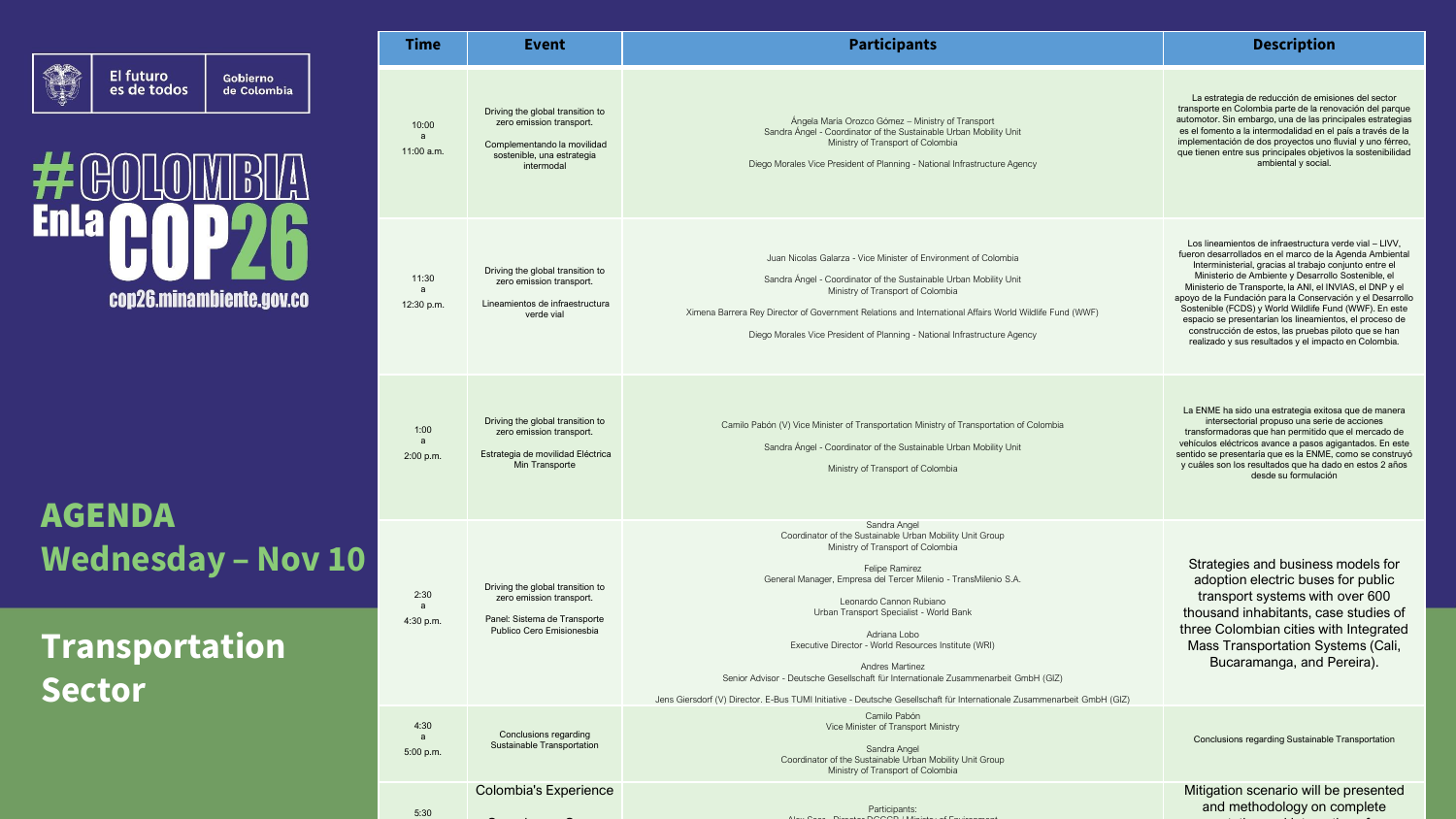

 $\bigoplus$ #  $\overline{D}$ **Enla** cop26.minambiente.gov.co

AGENDA **Wednesday – Nov 10**

### **Transportation Sector**

| <b>Time</b>                | Event                                                                                                                                   | <b>Participants</b>                                                                                                                                                                                                                                                                                                                                                                                                                                                                                                                                                                   | <b>Description</b>                                                                                                                                                                                                                                                                                                                                                                                                                                                                                                                                                                               |
|----------------------------|-----------------------------------------------------------------------------------------------------------------------------------------|---------------------------------------------------------------------------------------------------------------------------------------------------------------------------------------------------------------------------------------------------------------------------------------------------------------------------------------------------------------------------------------------------------------------------------------------------------------------------------------------------------------------------------------------------------------------------------------|--------------------------------------------------------------------------------------------------------------------------------------------------------------------------------------------------------------------------------------------------------------------------------------------------------------------------------------------------------------------------------------------------------------------------------------------------------------------------------------------------------------------------------------------------------------------------------------------------|
| 10:00<br>a<br>$11:00$ a.m. | Driving the global transition to<br>zero emission transport.<br>Complementando la movilidad<br>sostenible, una estrategia<br>intermodal | Ángela María Orozco Gómez - Ministry of Transport<br>Sandra Ángel - Coordinator of the Sustainable Urban Mobility Unit<br>Ministry of Transport of Colombia<br>Diego Morales Vice President of Planning - National Infrastructure Agency                                                                                                                                                                                                                                                                                                                                              | La estrategia de reducción de emisiones del sector<br>transporte en Colombia parte de la renovación del parque<br>automotor. Sin embargo, una de las principales estrategias<br>es el fomento a la intermodalidad en el país a través de la<br>implementación de dos proyectos uno fluvial y uno férreo,<br>que tienen entre sus principales objetivos la sostenibilidad<br>ambiental y social.                                                                                                                                                                                                  |
| 11:30<br>a<br>12:30 p.m.   | Driving the global transition to<br>zero emission transport.<br>Lineamientos de infraestructura<br>verde vial                           | Juan Nicolas Galarza - Vice Minister of Environment of Colombia<br>Sandra Ángel - Coordinator of the Sustainable Urban Mobility Unit<br>Ministry of Transport of Colombia<br>Ximena Barrera Rey Director of Government Relations and International Affairs World Wildlife Fund (WWF)<br>Diego Morales Vice President of Planning - National Infrastructure Agency                                                                                                                                                                                                                     | Los lineamientos de infraestructura verde vial - LIVV,<br>fueron desarrollados en el marco de la Agenda Ambiental<br>Interministerial, gracias al trabajo conjunto entre el<br>Ministerio de Ambiente y Desarrollo Sostenible, el<br>Ministerio de Transporte, la ANI, el INVIAS, el DNP y el<br>apoyo de la Fundación para la Conservación y el Desarrollo<br>Sostenible (FCDS) y World Wildlife Fund (WWF). En este<br>espacio se presentarían los lineamientos, el proceso de<br>construcción de estos, las pruebas piloto que se han<br>realizado y sus resultados y el impacto en Colombia. |
| 1:00<br>a<br>2:00 p.m.     | Driving the global transition to<br>zero emission transport.<br>Estrategia de movilidad Eléctrica<br>Min Transporte                     | Camilo Pabón (V) Vice Minister of Transportation Ministry of Transportation of Colombia<br>Sandra Ángel - Coordinator of the Sustainable Urban Mobility Unit<br>Ministry of Transport of Colombia                                                                                                                                                                                                                                                                                                                                                                                     | La ENME ha sido una estrategia exitosa que de manera<br>intersectorial propuso una serie de acciones<br>transformadoras que han permitido que el mercado de<br>vehículos eléctricos avance a pasos agigantados. En este<br>sentido se presentaría que es la ENME, como se construyó<br>y cuáles son los resultados que ha dado en estos 2 años<br>desde su formulación                                                                                                                                                                                                                           |
| 2:30<br>a<br>4:30 p.m.     | Driving the global transition to<br>zero emission transport.<br>Panel: Sistema de Transporte<br>Publico Cero Emisionesbia               | Sandra Angel<br>Coordinator of the Sustainable Urban Mobility Unit Group<br>Ministry of Transport of Colombia<br>Felipe Ramirez<br>General Manager, Empresa del Tercer Milenio - TransMilenio S.A.<br>Leonardo Cannon Rubiano<br>Urban Transport Specialist - World Bank<br>Adriana Lobo<br>Executive Director - World Resources Institute (WRI)<br>Andres Martinez<br>Senior Advisor - Deutsche Gesellschaft für Internationale Zusammenarbeit GmbH (GIZ)<br>Jens Giersdorf (V) Director. E-Bus TUMI Initiative - Deutsche Gesellschaft für Internationale Zusammenarbeit GmbH (GIZ) | Strategies and business models for<br>adoption electric buses for public<br>transport systems with over 600<br>thousand inhabitants, case studies of<br>three Colombian cities with Integrated<br>Mass Transportation Systems (Cali,<br>Bucaramanga, and Pereira).                                                                                                                                                                                                                                                                                                                               |
| 4:30<br>a<br>5:00 p.m.     | Conclusions regarding<br>Sustainable Transportation                                                                                     | Camilo Pabón<br>Vice Minister of Transport Ministry<br>Sandra Angel<br>Coordinator of the Sustainable Urban Mobility Unit Group<br>Ministry of Transport of Colombia                                                                                                                                                                                                                                                                                                                                                                                                                  | Conclusions regarding Sustainable Transportation                                                                                                                                                                                                                                                                                                                                                                                                                                                                                                                                                 |
| 5:30                       | Colombia's Experience                                                                                                                   | Participants:                                                                                                                                                                                                                                                                                                                                                                                                                                                                                                                                                                         | Mitigation scenario will be presented<br>and methodology on complete                                                                                                                                                                                                                                                                                                                                                                                                                                                                                                                             |